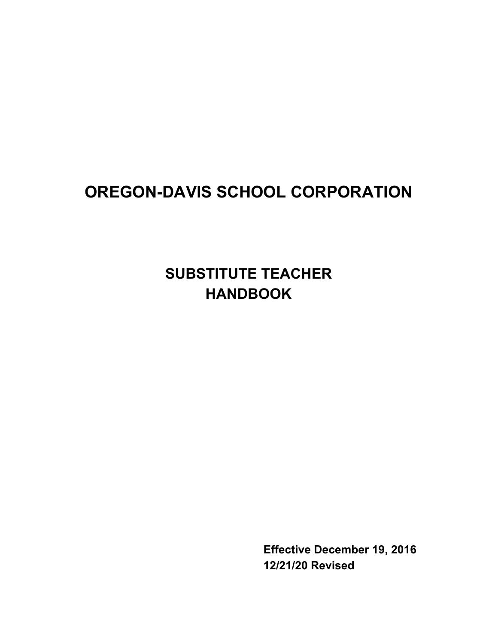# **OREGON-DAVIS SCHOOL CORPORATION**

**SUBSTITUTE TEACHER HANDBOOK**

> **Effective December 19, 2016 12/21/20 Revised**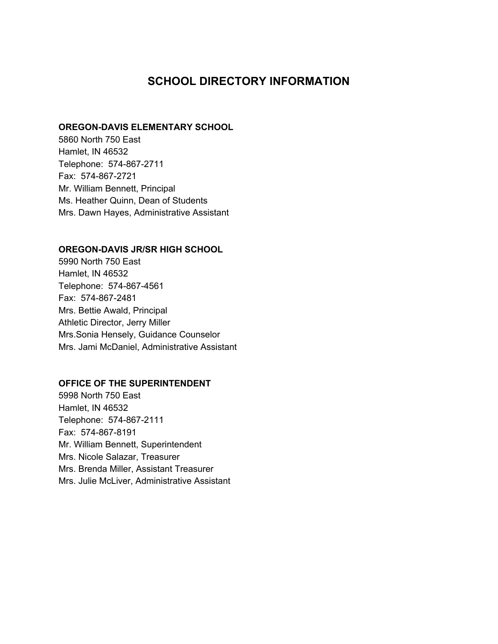## **SCHOOL DIRECTORY INFORMATION**

#### **OREGON-DAVIS ELEMENTARY SCHOOL**

5860 North 750 East Hamlet, IN 46532 Telephone: 574-867-2711 Fax: 574-867-2721 Mr. William Bennett, Principal Ms. Heather Quinn, Dean of Students Mrs. Dawn Hayes, Administrative Assistant

#### **OREGON-DAVIS JR/SR HIGH SCHOOL**

5990 North 750 East Hamlet, IN 46532 Telephone: 574-867-4561 Fax: 574-867-2481 Mrs. Bettie Awald, Principal Athletic Director, Jerry Miller Mrs.Sonia Hensely, Guidance Counselor Mrs. Jami McDaniel, Administrative Assistant

#### **OFFICE OF THE SUPERINTENDENT**

5998 North 750 East Hamlet, IN 46532 Telephone: 574-867-2111 Fax: 574-867-8191 Mr. William Bennett, Superintendent Mrs. Nicole Salazar, Treasurer Mrs. Brenda Miller, Assistant Treasurer Mrs. Julie McLiver, Administrative Assistant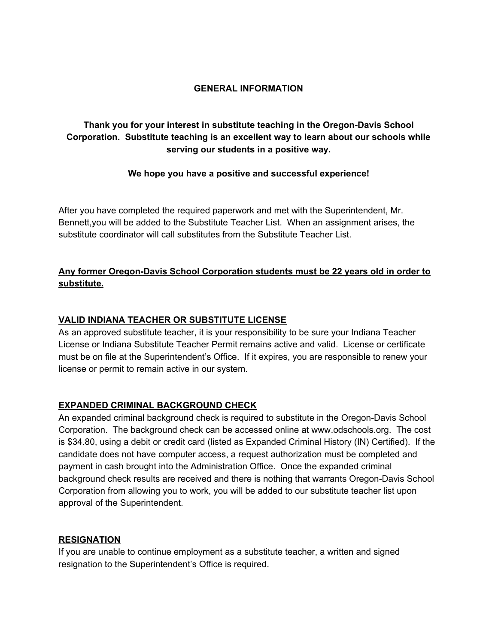#### **GENERAL INFORMATION**

## **Thank you for your interest in substitute teaching in the Oregon-Davis School Corporation. Substitute teaching is an excellent way to learn about our schools while serving our students in a positive way.**

#### **We hope you have a positive and successful experience!**

After you have completed the required paperwork and met with the Superintendent, Mr. Bennett,you will be added to the Substitute Teacher List. When an assignment arises, the substitute coordinator will call substitutes from the Substitute Teacher List.

## **Any former Oregon-Davis School Corporation students must be 22 years old in order to substitute.**

#### **VALID INDIANA TEACHER OR SUBSTITUTE LICENSE**

As an approved substitute teacher, it is your responsibility to be sure your Indiana Teacher License or Indiana Substitute Teacher Permit remains active and valid. License or certificate must be on file at the Superintendent's Office. If it expires, you are responsible to renew your license or permit to remain active in our system.

#### **EXPANDED CRIMINAL BACKGROUND CHECK**

An expanded criminal background check is required to substitute in the Oregon-Davis School Corporation. The background check can be accessed online at www.odschools.org. The cost is \$34.80, using a debit or credit card (listed as Expanded Criminal History (IN) Certified). If the candidate does not have computer access, a request authorization must be completed and payment in cash brought into the Administration Office. Once the expanded criminal background check results are received and there is nothing that warrants Oregon-Davis School Corporation from allowing you to work, you will be added to our substitute teacher list upon approval of the Superintendent.

#### **RESIGNATION**

If you are unable to continue employment as a substitute teacher, a written and signed resignation to the Superintendent's Office is required.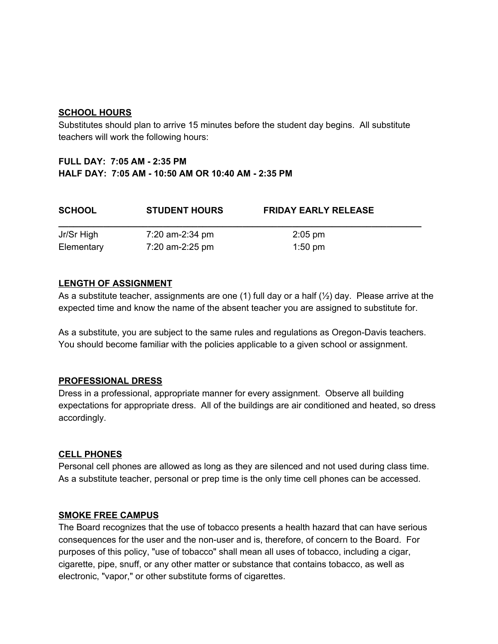#### **SCHOOL HOURS**

Substitutes should plan to arrive 15 minutes before the student day begins. All substitute teachers will work the following hours:

## **FULL DAY: 7:05 AM - 2:35 PM HALF DAY: 7:05 AM - 10:50 AM OR 10:40 AM - 2:35 PM**

| <b>SCHOOL</b> | <b>STUDENT HOURS</b> | <b>FRIDAY EARLY RELEASE</b> |  |
|---------------|----------------------|-----------------------------|--|
| Jr/Sr High    | 7:20 am-2:34 pm      | $2:05$ pm                   |  |
| Elementary    | 7:20 am-2:25 pm      | $1:50$ pm                   |  |

#### **LENGTH OF ASSIGNMENT**

As a substitute teacher, assignments are one (1) full day or a half  $(\frac{1}{2})$  day. Please arrive at the expected time and know the name of the absent teacher you are assigned to substitute for.

As a substitute, you are subject to the same rules and regulations as Oregon-Davis teachers. You should become familiar with the policies applicable to a given school or assignment.

#### **PROFESSIONAL DRESS**

Dress in a professional, appropriate manner for every assignment. Observe all building expectations for appropriate dress. All of the buildings are air conditioned and heated, so dress accordingly.

#### **CELL PHONES**

Personal cell phones are allowed as long as they are silenced and not used during class time. As a substitute teacher, personal or prep time is the only time cell phones can be accessed.

#### **SMOKE FREE CAMPUS**

The Board recognizes that the use of tobacco presents a health hazard that can have serious consequences for the user and the non-user and is, therefore, of concern to the Board. For purposes of this policy, "use of tobacco" shall mean all uses of tobacco, including a cigar, cigarette, pipe, snuff, or any other matter or substance that contains tobacco, as well as electronic, "vapor," or other substitute forms of cigarettes.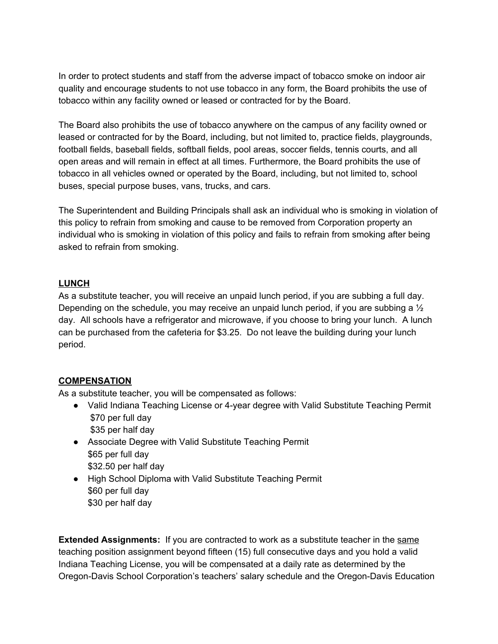In order to protect students and staff from the adverse impact of tobacco smoke on indoor air quality and encourage students to not use tobacco in any form, the Board prohibits the use of tobacco within any facility owned or leased or contracted for by the Board.

The Board also prohibits the use of tobacco anywhere on the campus of any facility owned or leased or contracted for by the Board, including, but not limited to, practice fields, playgrounds, football fields, baseball fields, softball fields, pool areas, soccer fields, tennis courts, and all open areas and will remain in effect at all times. Furthermore, the Board prohibits the use of tobacco in all vehicles owned or operated by the Board, including, but not limited to, school buses, special purpose buses, vans, trucks, and cars.

The Superintendent and Building Principals shall ask an individual who is smoking in violation of this policy to refrain from smoking and cause to be removed from Corporation property an individual who is smoking in violation of this policy and fails to refrain from smoking after being asked to refrain from smoking.

#### **LUNCH**

As a substitute teacher, you will receive an unpaid lunch period, if you are subbing a full day. Depending on the schedule, you may receive an unpaid lunch period, if you are subbing a  $\frac{1}{2}$ day. All schools have a refrigerator and microwave, if you choose to bring your lunch. A lunch can be purchased from the cafeteria for \$3.25. Do not leave the building during your lunch period.

#### **COMPENSATION**

As a substitute teacher, you will be compensated as follows:

- Valid Indiana Teaching License or 4-year degree with Valid Substitute Teaching Permit \$70 per full day \$35 per half day
- Associate Degree with Valid Substitute Teaching Permit \$65 per full day \$32.50 per half day
- High School Diploma with Valid Substitute Teaching Permit \$60 per full day \$30 per half day

**Extended Assignments:** If you are contracted to work as a substitute teacher in the same teaching position assignment beyond fifteen (15) full consecutive days and you hold a valid Indiana Teaching License, you will be compensated at a daily rate as determined by the Oregon-Davis School Corporation's teachers' salary schedule and the Oregon-Davis Education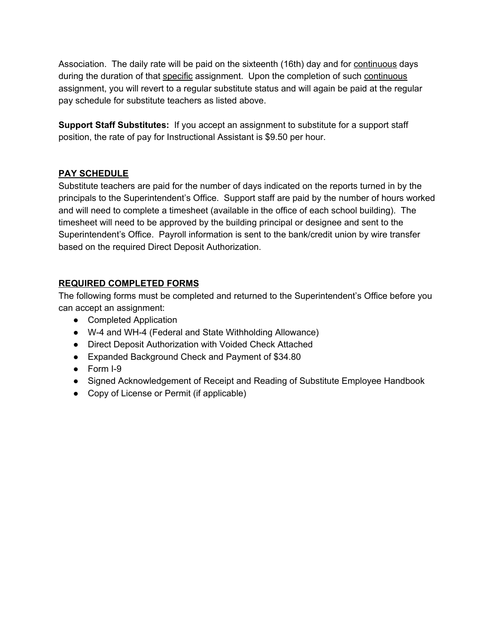Association. The daily rate will be paid on the sixteenth (16th) day and for continuous days during the duration of that specific assignment. Upon the completion of such continuous assignment, you will revert to a regular substitute status and will again be paid at the regular pay schedule for substitute teachers as listed above.

**Support Staff Substitutes:** If you accept an assignment to substitute for a support staff position, the rate of pay for Instructional Assistant is \$9.50 per hour.

#### **PAY SCHEDULE**

Substitute teachers are paid for the number of days indicated on the reports turned in by the principals to the Superintendent's Office. Support staff are paid by the number of hours worked and will need to complete a timesheet (available in the office of each school building). The timesheet will need to be approved by the building principal or designee and sent to the Superintendent's Office. Payroll information is sent to the bank/credit union by wire transfer based on the required Direct Deposit Authorization.

## **REQUIRED COMPLETED FORMS**

The following forms must be completed and returned to the Superintendent's Office before you can accept an assignment:

- Completed Application
- W-4 and WH-4 (Federal and State Withholding Allowance)
- Direct Deposit Authorization with Voided Check Attached
- Expanded Background Check and Payment of \$34.80
- Form I-9
- Signed Acknowledgement of Receipt and Reading of Substitute Employee Handbook
- Copy of License or Permit (if applicable)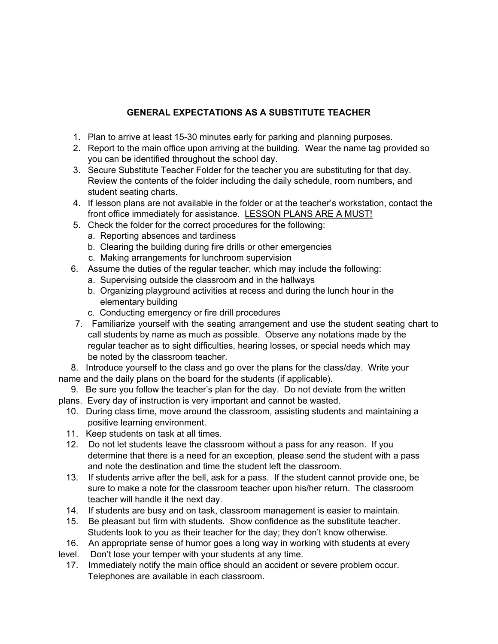## **GENERAL EXPECTATIONS AS A SUBSTITUTE TEACHER**

- 1. Plan to arrive at least 15-30 minutes early for parking and planning purposes.
- 2. Report to the main office upon arriving at the building. Wear the name tag provided so you can be identified throughout the school day.
- 3. Secure Substitute Teacher Folder for the teacher you are substituting for that day. Review the contents of the folder including the daily schedule, room numbers, and student seating charts.
- 4. If lesson plans are not available in the folder or at the teacher's workstation, contact the front office immediately for assistance. LESSON PLANS ARE A MUST!
- 5. Check the folder for the correct procedures for the following:
	- a. Reporting absences and tardiness
	- b. Clearing the building during fire drills or other emergencies
	- c. Making arrangements for lunchroom supervision
- 6. Assume the duties of the regular teacher, which may include the following:
	- a. Supervising outside the classroom and in the hallways
	- b. Organizing playground activities at recess and during the lunch hour in the elementary building
	- c. Conducting emergency or fire drill procedures
- 7. Familiarize yourself with the seating arrangement and use the student seating chart to call students by name as much as possible. Observe any notations made by the regular teacher as to sight difficulties, hearing losses, or special needs which may be noted by the classroom teacher.

8. Introduce yourself to the class and go over the plans for the class/day. Write your name and the daily plans on the board for the students (if applicable).

- 9. Be sure you follow the teacher's plan for the day. Do not deviate from the written plans. Every day of instruction is very important and cannot be wasted.
- 10. During class time, move around the classroom, assisting students and maintaining a positive learning environment.
- 11. Keep students on task at all times.
- 12. Do not let students leave the classroom without a pass for any reason. If you determine that there is a need for an exception, please send the student with a pass and note the destination and time the student left the classroom.
- 13. If students arrive after the bell, ask for a pass. If the student cannot provide one, be sure to make a note for the classroom teacher upon his/her return. The classroom teacher will handle it the next day.
- 14. If students are busy and on task, classroom management is easier to maintain.
- 15. Be pleasant but firm with students. Show confidence as the substitute teacher. Students look to you as their teacher for the day; they don't know otherwise.
- 16. An appropriate sense of humor goes a long way in working with students at every
- level. Don't lose your temper with your students at any time.
	- 17. Immediately notify the main office should an accident or severe problem occur. Telephones are available in each classroom.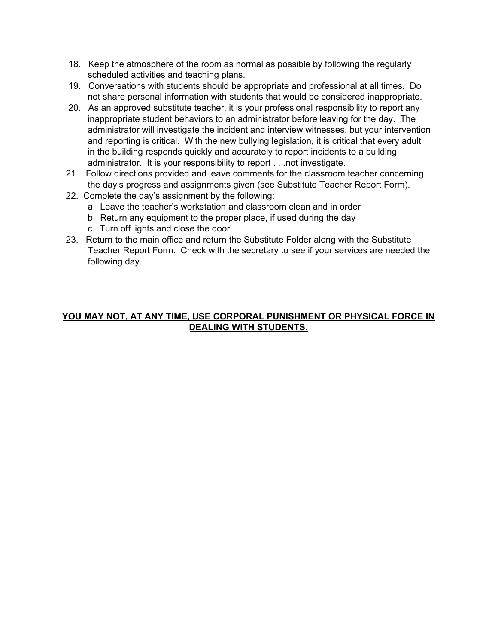- 18. Keep the atmosphere of the room as normal as possible by following the regularly scheduled activities and teaching plans.
- 19. Conversations with students should be appropriate and professional at all times. Do not share personal information with students that would be considered inappropriate.
- 20. As an approved substitute teacher, it is your professional responsibility to report any inappropriate student behaviors to an administrator before leaving for the day. The administrator will investigate the incident and interview witnesses, but your intervention and reporting is critical. With the new bullying legislation, it is critical that every adult in the building responds quickly and accurately to report incidents to a building administrator. It is your responsibility to report . . .not investigate.
- 21. Follow directions provided and leave comments for the classroom teacher concerning the day's progress and assignments given (see Substitute Teacher Report Form).
- 22. Complete the day's assignment by the following:
	- a. Leave the teacher's workstation and classroom clean and in order
	- b. Return any equipment to the proper place, if used during the day
	- c. Turn off lights and close the door
- 23. Return to the main office and return the Substitute Folder along with the Substitute Teacher Report Form. Check with the secretary to see if your services are needed the following day.

#### **YOU MAY NOT, AT ANY TIME, USE CORPORAL PUNISHMENT OR PHYSICAL FORCE IN DEALING WITH STUDENTS.**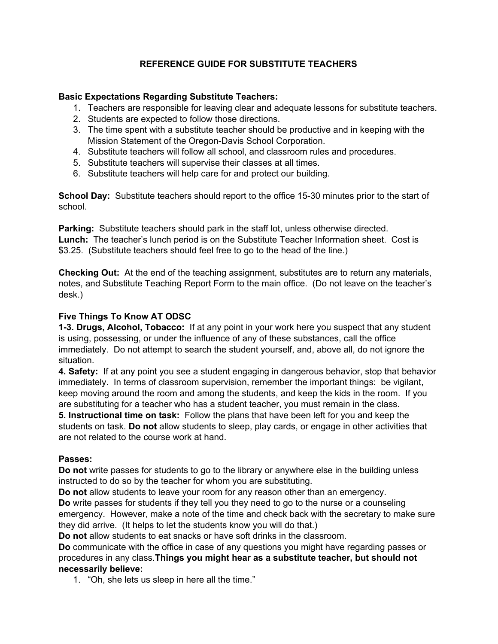## **REFERENCE GUIDE FOR SUBSTITUTE TEACHERS**

#### **Basic Expectations Regarding Substitute Teachers:**

- 1. Teachers are responsible for leaving clear and adequate lessons for substitute teachers.
- 2. Students are expected to follow those directions.
- 3. The time spent with a substitute teacher should be productive and in keeping with the Mission Statement of the Oregon-Davis School Corporation.
- 4. Substitute teachers will follow all school, and classroom rules and procedures.
- 5. Substitute teachers will supervise their classes at all times.
- 6. Substitute teachers will help care for and protect our building.

**School Day:** Substitute teachers should report to the office 15-30 minutes prior to the start of school.

**Parking:** Substitute teachers should park in the staff lot, unless otherwise directed. **Lunch:** The teacher's lunch period is on the Substitute Teacher Information sheet. Cost is \$3.25. (Substitute teachers should feel free to go to the head of the line.)

**Checking Out:** At the end of the teaching assignment, substitutes are to return any materials, notes, and Substitute Teaching Report Form to the main office. (Do not leave on the teacher's desk.)

#### **Five Things To Know AT ODSC**

**1-3. Drugs, Alcohol, Tobacco:** If at any point in your work here you suspect that any student is using, possessing, or under the influence of any of these substances, call the office immediately. Do not attempt to search the student yourself, and, above all, do not ignore the situation.

**4. Safety:** If at any point you see a student engaging in dangerous behavior, stop that behavior immediately. In terms of classroom supervision, remember the important things: be vigilant, keep moving around the room and among the students, and keep the kids in the room. If you are substituting for a teacher who has a student teacher, you must remain in the class. **5. Instructional time on task:** Follow the plans that have been left for you and keep the students on task. **Do not** allow students to sleep, play cards, or engage in other activities that are not related to the course work at hand.

#### **Passes:**

**Do not** write passes for students to go to the library or anywhere else in the building unless instructed to do so by the teacher for whom you are substituting.

**Do not** allow students to leave your room for any reason other than an emergency.

**Do** write passes for students if they tell you they need to go to the nurse or a counseling emergency. However, make a note of the time and check back with the secretary to make sure they did arrive. (It helps to let the students know you will do that.)

**Do not** allow students to eat snacks or have soft drinks in the classroom.

**Do** communicate with the office in case of any questions you might have regarding passes or procedures in any class.**Things you might hear as a substitute teacher, but should not necessarily believe:**

1. "Oh, she lets us sleep in here all the time."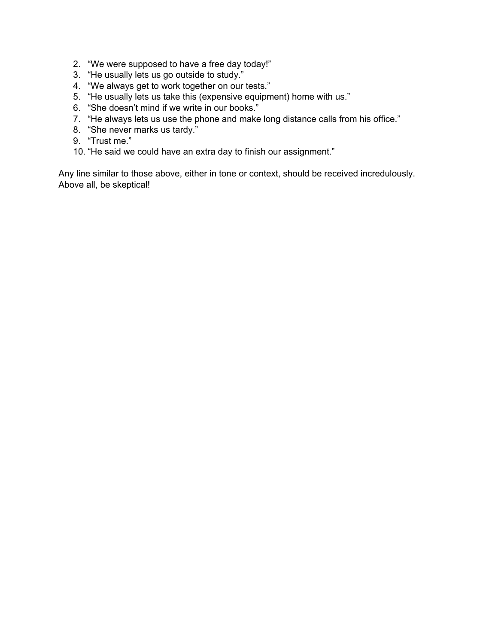- 2. "We were supposed to have a free day today!"
- 3. "He usually lets us go outside to study."
- 4. "We always get to work together on our tests."
- 5. "He usually lets us take this (expensive equipment) home with us."
- 6. "She doesn't mind if we write in our books."
- 7. "He always lets us use the phone and make long distance calls from his office."
- 8. "She never marks us tardy."
- 9. "Trust me."
- 10. "He said we could have an extra day to finish our assignment."

Any line similar to those above, either in tone or context, should be received incredulously. Above all, be skeptical!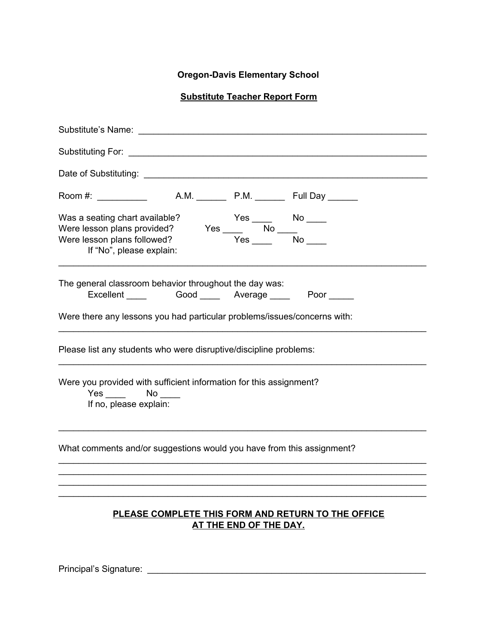## **Oregon-Davis Elementary School**

## **Substitute Teacher Report Form**

| If "No", please explain:                                                                                                                                                                   |
|--------------------------------------------------------------------------------------------------------------------------------------------------------------------------------------------|
| The general classroom behavior throughout the day was:<br>Excellent ______ Good _____ Average _____ Poor _____<br>Were there any lessons you had particular problems/issues/concerns with: |
|                                                                                                                                                                                            |
| Please list any students who were disruptive/discipline problems:                                                                                                                          |
| Were you provided with sufficient information for this assignment?<br>Yes No<br>If no, please explain:                                                                                     |
| What comments and/or suggestions would you have from this assignment?                                                                                                                      |
| PLEASE COMPLETE THIS FORM AND RETURN TO THE OFFICE<br><b>AT THE END OF THE DAY.</b>                                                                                                        |

Principal's Signature: \_\_\_\_\_\_\_\_\_\_\_\_\_\_\_\_\_\_\_\_\_\_\_\_\_\_\_\_\_\_\_\_\_\_\_\_\_\_\_\_\_\_\_\_\_\_\_\_\_\_\_\_\_\_\_\_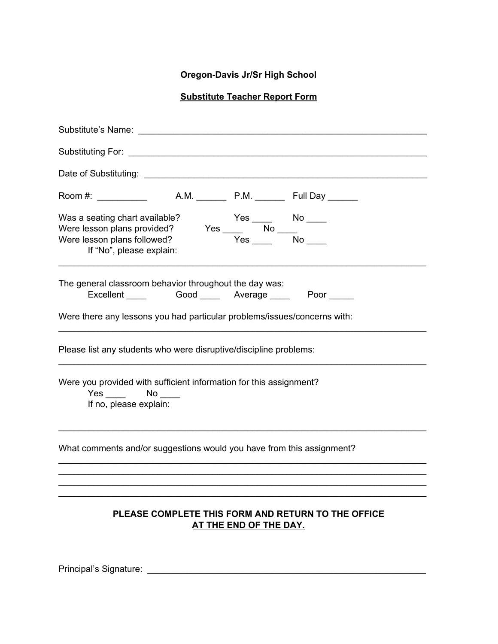## **Oregon-Davis Jr/Sr High School**

## **Substitute Teacher Report Form**

| $Yes \xrightarrow{Yes \xrightarrow{No} \xrightarrow{No} \xrightarrow{No} \xrightarrow{.} \nVes \xrightarrow{.} \nNo \xrightarrow{.} \nNo \xrightarrow{.} \nNo \xrightarrow{.} \nNo \xrightarrow{.} \nNo \xrightarrow{.} \nNo \xrightarrow{.} \nNo \xrightarrow{.} \nNo \xrightarrow{.} \nNo \xrightarrow{.} \nNo \xrightarrow{.} \nNo \xrightarrow{.} \nNo \xrightarrow{.} \nNo \xrightarrow{.} \nNo \xrightarrow{.} \nNo \xrightarrow{.} \nNo \xrightarrow{.} \nNo \xrightarrow{.} \nNo \xrightarrow{.}$<br>Was a seating chart available?<br>Were lesson plans provided?<br>Were lesson plans followed?<br>If "No", please explain: |
|---------------------------------------------------------------------------------------------------------------------------------------------------------------------------------------------------------------------------------------------------------------------------------------------------------------------------------------------------------------------------------------------------------------------------------------------------------------------------------------------------------------------------------------------------------------------------------------------------------------------------------------|
| The general classroom behavior throughout the day was:<br>Excellent ______ Good _____ Average _____ Poor _____                                                                                                                                                                                                                                                                                                                                                                                                                                                                                                                        |
| Were there any lessons you had particular problems/issues/concerns with:                                                                                                                                                                                                                                                                                                                                                                                                                                                                                                                                                              |
| Please list any students who were disruptive/discipline problems:                                                                                                                                                                                                                                                                                                                                                                                                                                                                                                                                                                     |
| Were you provided with sufficient information for this assignment?<br>No lot in the set of the set of the set of the set of the set of the set of the set of the set of the set of the set of the set of the set of the set of the set of the set of the set of the set of the set of the set of the<br>If no, please explain:                                                                                                                                                                                                                                                                                                        |
| What comments and/or suggestions would you have from this assignment?                                                                                                                                                                                                                                                                                                                                                                                                                                                                                                                                                                 |
| PLEASE COMPLETE THIS FORM AND RETURN TO THE OFFICE<br><b>AT THE END OF THE DAY.</b>                                                                                                                                                                                                                                                                                                                                                                                                                                                                                                                                                   |

Principal's Signature: \_\_\_\_\_\_\_\_\_\_\_\_\_\_\_\_\_\_\_\_\_\_\_\_\_\_\_\_\_\_\_\_\_\_\_\_\_\_\_\_\_\_\_\_\_\_\_\_\_\_\_\_\_\_\_\_